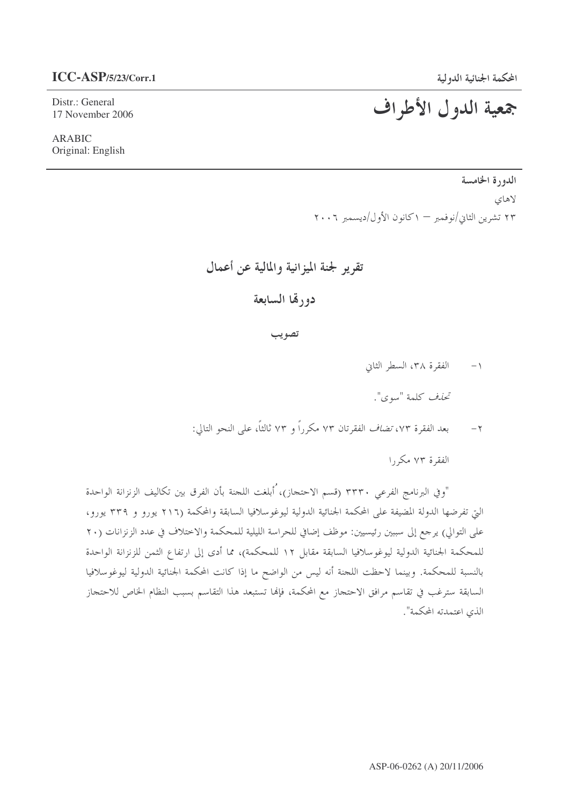## $ICC-ASP/5/23/Corr.1$

Distr.: General 17 November 2006

**ARABIC** Original: English

## جمعية الدول الأطراف

الدورة الخامسة لاهاى ٢٣ تشرين الثاني/نوفمبر — ١كانون الأول/ديسمبر ٢٠٠٦

## تقرير لجنة الميزانية والمالية عن أعمال

دورقما السابعة

تصويب

الفقرة ٣٨، السطر الثاني  $-1$ 

تحذف كلمة "سوى".

بعد الفقرة ٧٣، *تضاف* الفقرتان ٧٣ مكرراً و ٧٣ ثالثاً، على النحو التالي:  $-\tau$ 

الفقرة ٧٣ مكر, ا

"و في البرنامج الفرعي ٣٣٣٠ (قسم الاحتجاز)، ُأبلغت اللجنة بأن الفرق بين تكاليف الزنزانة الواحدة التي تفرضها الدولة المضيفة على المحكمة الجنائية الدولية ليوغوسلافيا السابقة والمحكمة (٢١٦ يورو و ٣٣٩ يورو، على التوالي) يرجع إلى سببين رئيسيين: موظف إضافي للحراسة الليلية للمحكمة والاختلاف في عدد الزنزانات (٢٠ للمحكمة الجنائية الدولية ليوغوسلافيا السابقة مقابل ١٢ للمحكمة)، مما أدى إلى ارتفاع الثمن للزنزانة الواحدة بالنسبة للمحكمة. وبينما لاحظت اللجنة أنه ليس من الواضح ما إذا كانت المحكمة الجنائية الدولية ليوغوسلافيا السابقة سترغب في تقاسم مرافق الاحتجاز مع المحكمة، فإلها تستبعد هذا التقاسم بسبب النظام الخاص للاحتجاز الذي اعتمدته المحكمة".